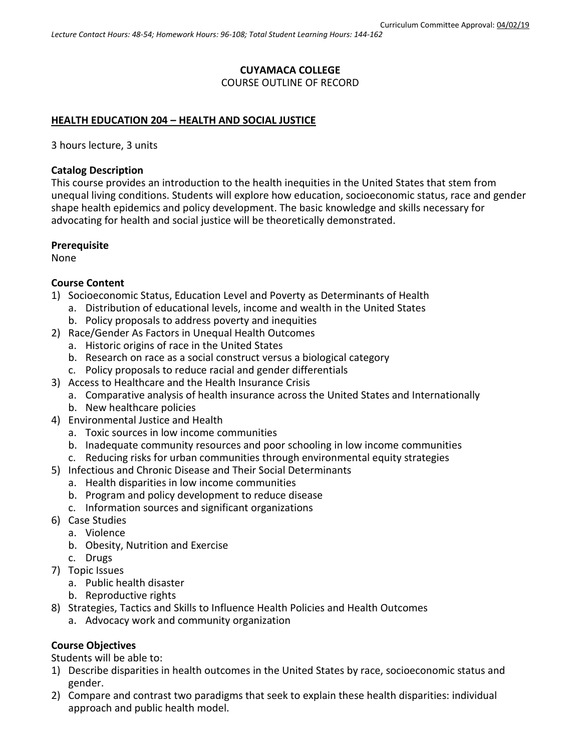# **CUYAMACA COLLEGE**

COURSE OUTLINE OF RECORD

### **HEALTH EDUCATION 204 – HEALTH AND SOCIAL JUSTICE**

3 hours lecture, 3 units

### **Catalog Description**

This course provides an introduction to the health inequities in the United States that stem from unequal living conditions. Students will explore how education, socioeconomic status, race and gender shape health epidemics and policy development. The basic knowledge and skills necessary for advocating for health and social justice will be theoretically demonstrated.

### **Prerequisite**

None

### **Course Content**

- 1) Socioeconomic Status, Education Level and Poverty as Determinants of Health
	- a. Distribution of educational levels, income and wealth in the United States
		- b. Policy proposals to address poverty and inequities
- 2) Race/Gender As Factors in Unequal Health Outcomes
	- a. Historic origins of race in the United States
	- b. Research on race as a social construct versus a biological category
	- c. Policy proposals to reduce racial and gender differentials
- 3) Access to Healthcare and the Health Insurance Crisis
	- a. Comparative analysis of health insurance across the United States and Internationally
	- b. New healthcare policies
- 4) Environmental Justice and Health
	- a. Toxic sources in low income communities
	- b. Inadequate community resources and poor schooling in low income communities
	- c. Reducing risks for urban communities through environmental equity strategies
- 5) Infectious and Chronic Disease and Their Social Determinants
	- a. Health disparities in low income communities
	- b. Program and policy development to reduce disease
	- c. Information sources and significant organizations
- 6) Case Studies
	- a. Violence
	- b. Obesity, Nutrition and Exercise
	- c. Drugs
- 7) Topic Issues
	- a. Public health disaster
	- b. Reproductive rights
- 8) Strategies, Tactics and Skills to Influence Health Policies and Health Outcomes
	- a. Advocacy work and community organization

## **Course Objectives**

Students will be able to:

- 1) Describe disparities in health outcomes in the United States by race, socioeconomic status and gender.
- 2) Compare and contrast two paradigms that seek to explain these health disparities: individual approach and public health model.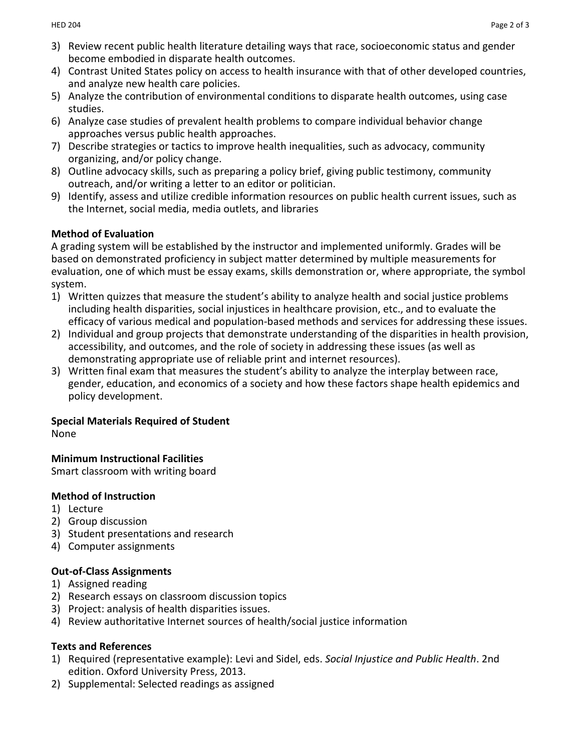- 3) Review recent public health literature detailing ways that race, socioeconomic status and gender become embodied in disparate health outcomes.
- 4) Contrast United States policy on access to health insurance with that of other developed countries, and analyze new health care policies.
- 5) Analyze the contribution of environmental conditions to disparate health outcomes, using case studies.
- 6) Analyze case studies of prevalent health problems to compare individual behavior change approaches versus public health approaches.
- 7) Describe strategies or tactics to improve health inequalities, such as advocacy, community organizing, and/or policy change.
- 8) Outline advocacy skills, such as preparing a policy brief, giving public testimony, community outreach, and/or writing a letter to an editor or politician.
- 9) Identify, assess and utilize credible information resources on public health current issues, such as the Internet, social media, media outlets, and libraries

## **Method of Evaluation**

A grading system will be established by the instructor and implemented uniformly. Grades will be based on demonstrated proficiency in subject matter determined by multiple measurements for evaluation, one of which must be essay exams, skills demonstration or, where appropriate, the symbol system.

- 1) Written quizzes that measure the student's ability to analyze health and social justice problems including health disparities, social injustices in healthcare provision, etc., and to evaluate the efficacy of various medical and population-based methods and services for addressing these issues.
- 2) Individual and group projects that demonstrate understanding of the disparities in health provision, accessibility, and outcomes, and the role of society in addressing these issues (as well as demonstrating appropriate use of reliable print and internet resources).
- 3) Written final exam that measures the student's ability to analyze the interplay between race, gender, education, and economics of a society and how these factors shape health epidemics and policy development.

# **Special Materials Required of Student**

None

## **Minimum Instructional Facilities**

Smart classroom with writing board

## **Method of Instruction**

- 1) Lecture
- 2) Group discussion
- 3) Student presentations and research
- 4) Computer assignments

# **Out-of-Class Assignments**

- 1) Assigned reading
- 2) Research essays on classroom discussion topics
- 3) Project: analysis of health disparities issues.
- 4) Review authoritative Internet sources of health/social justice information

## **Texts and References**

- 1) Required (representative example): Levi and Sidel, eds. *Social Injustice and Public Health*. 2nd edition. Oxford University Press, 2013.
- 2) Supplemental: Selected readings as assigned